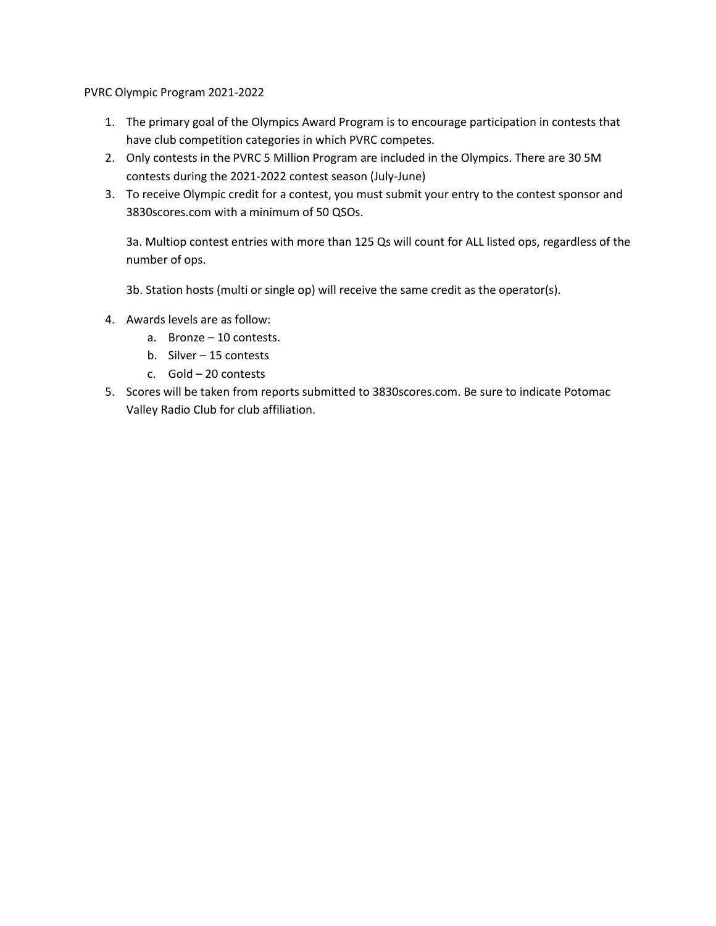PVRC Olympic Program 2021-2022

- 1. The primary goal of the Olympics Award Program is to encourage participation in contests that have club competition categories in which PVRC competes.
- 2. Only contests in the PVRC 5 Million Program are included in the Olympics. There are 30 5M contests during the 2021-2022 contest season (July-June)
- 3. To receive Olympic credit for a contest, you must submit your entry to the contest sponsor and 3830scores.com with a minimum of 50 QSOs.

3a. Multiop contest entries with more than 125 Qs will count for ALL listed ops, regardless of the number of ops.

3b. Station hosts (multi or single op) will receive the same credit as the operator(s).

- 4. Awards levels are as follow:
	- a. Bronze 10 contests.
	- b. Silver 15 contests
	- c. Gold 20 contests
- 5. Scores will be taken from reports submitted to 3830scores.com. Be sure to indicate Potomac Valley Radio Club for club affiliation.